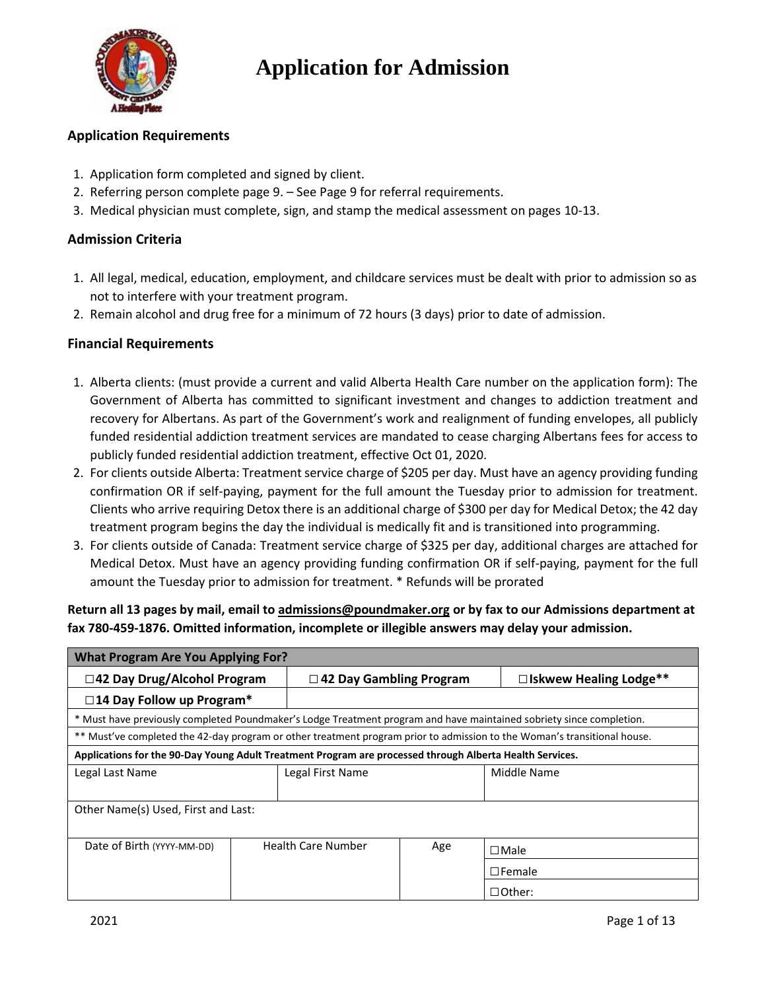

#### **Application Requirements**

- 1. Application form completed and signed by client.
- 2. Referring person complete page 9. See Page 9 for referral requirements.
- 3. Medical physician must complete, sign, and stamp the medical assessment on pages 10-13.

#### **Admission Criteria**

- 1. All legal, medical, education, employment, and childcare services must be dealt with prior to admission so as not to interfere with your treatment program.
- 2. Remain alcohol and drug free for a minimum of 72 hours (3 days) prior to date of admission.

#### **Financial Requirements**

- 1. Alberta clients: (must provide a current and valid Alberta Health Care number on the application form): The Government of Alberta has committed to significant investment and changes to addiction treatment and recovery for Albertans. As part of the Government's work and realignment of funding envelopes, all publicly funded residential addiction treatment services are mandated to cease charging Albertans fees for access to publicly funded residential addiction treatment, effective Oct 01, 2020.
- 2. For clients outside Alberta: Treatment service charge of \$205 per day. Must have an agency providing funding confirmation OR if self-paying, payment for the full amount the Tuesday prior to admission for treatment. Clients who arrive requiring Detox there is an additional charge of \$300 per day for Medical Detox; the 42 day treatment program begins the day the individual is medically fit and is transitioned into programming.
- 3. For clients outside of Canada: Treatment service charge of \$325 per day, additional charges are attached for Medical Detox. Must have an agency providing funding confirmation OR if self-paying, payment for the full amount the Tuesday prior to admission for treatment. \* Refunds will be prorated

#### **Return all 13 pages by mail, email to admissions@poundmaker.org or by fax to our Admissions department at fax 780-459-1876. Omitted information, incomplete or illegible answers may delay your admission.**

| <b>What Program Are You Applying For?</b>                                                                                |  |                                |     |                               |  |  |  |  |  |  |  |
|--------------------------------------------------------------------------------------------------------------------------|--|--------------------------------|-----|-------------------------------|--|--|--|--|--|--|--|
| □42 Day Drug/Alcohol Program                                                                                             |  | $\Box$ 42 Day Gambling Program |     | $\Box$ Iskwew Healing Lodge** |  |  |  |  |  |  |  |
| $\square$ 14 Day Follow up Program*                                                                                      |  |                                |     |                               |  |  |  |  |  |  |  |
| * Must have previously completed Poundmaker's Lodge Treatment program and have maintained sobriety since completion.     |  |                                |     |                               |  |  |  |  |  |  |  |
| ** Must've completed the 42-day program or other treatment program prior to admission to the Woman's transitional house. |  |                                |     |                               |  |  |  |  |  |  |  |
| Applications for the 90-Day Young Adult Treatment Program are processed through Alberta Health Services.                 |  |                                |     |                               |  |  |  |  |  |  |  |
| Legal Last Name                                                                                                          |  | Legal First Name               |     | Middle Name                   |  |  |  |  |  |  |  |
|                                                                                                                          |  |                                |     |                               |  |  |  |  |  |  |  |
| Other Name(s) Used, First and Last:                                                                                      |  |                                |     |                               |  |  |  |  |  |  |  |
|                                                                                                                          |  |                                |     |                               |  |  |  |  |  |  |  |
| Date of Birth (YYYY-MM-DD)                                                                                               |  | <b>Health Care Number</b>      | Age | $\Box$ Male                   |  |  |  |  |  |  |  |
|                                                                                                                          |  |                                |     | $\Box$ Female                 |  |  |  |  |  |  |  |
|                                                                                                                          |  |                                |     | $\Box$ Other:                 |  |  |  |  |  |  |  |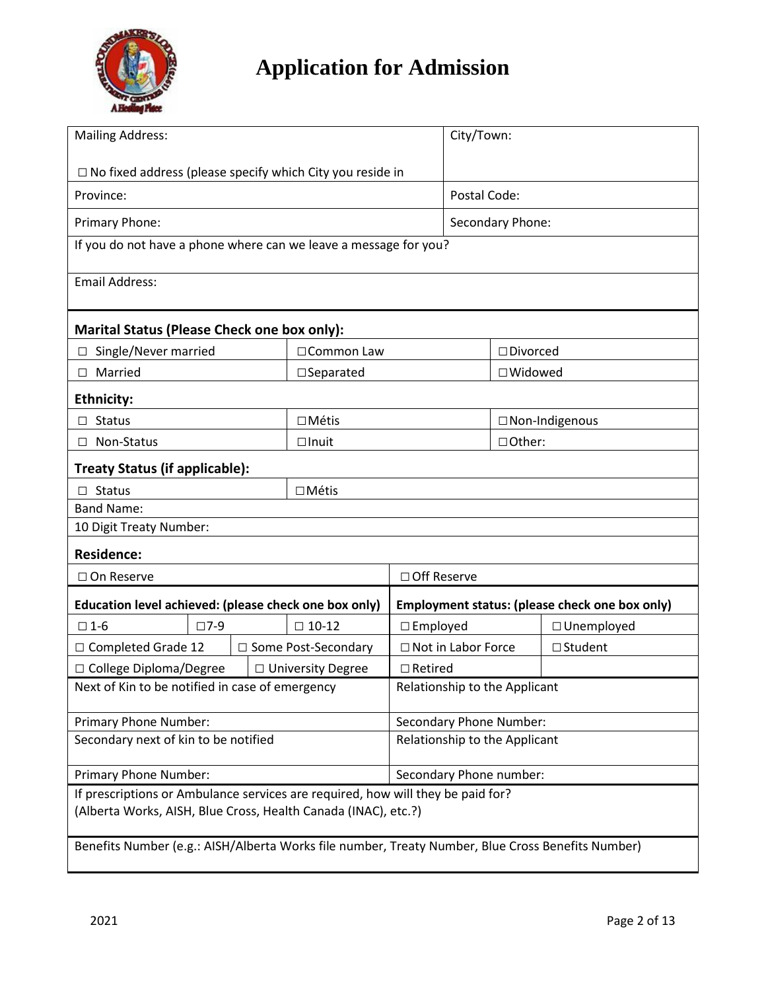

| <b>Mailing Address:</b>                                                                           |            |  | City/Town:            |                                                |                   |                   |  |  |  |
|---------------------------------------------------------------------------------------------------|------------|--|-----------------------|------------------------------------------------|-------------------|-------------------|--|--|--|
| $\Box$ No fixed address (please specify which City you reside in                                  |            |  |                       |                                                |                   |                   |  |  |  |
| Province:                                                                                         |            |  | Postal Code:          |                                                |                   |                   |  |  |  |
| Primary Phone:                                                                                    |            |  |                       |                                                | Secondary Phone:  |                   |  |  |  |
| If you do not have a phone where can we leave a message for you?                                  |            |  |                       |                                                |                   |                   |  |  |  |
| <b>Email Address:</b>                                                                             |            |  |                       |                                                |                   |                   |  |  |  |
|                                                                                                   |            |  |                       |                                                |                   |                   |  |  |  |
| <b>Marital Status (Please Check one box only):</b>                                                |            |  |                       |                                                |                   |                   |  |  |  |
| Single/Never married                                                                              |            |  | □ Common Law          |                                                | $\Box$ Divorced   |                   |  |  |  |
| Married<br>П.                                                                                     |            |  | $\square$ Separated   |                                                | $\square$ Widowed |                   |  |  |  |
| <b>Ethnicity:</b>                                                                                 |            |  |                       |                                                |                   |                   |  |  |  |
| <b>Status</b>                                                                                     |            |  | $\Box$ Métis          |                                                |                   | □ Non-Indigenous  |  |  |  |
| Non-Status                                                                                        |            |  | $\Box$ Inuit          |                                                | □Other:           |                   |  |  |  |
| Treaty Status (if applicable):                                                                    |            |  |                       |                                                |                   |                   |  |  |  |
| $\Box$ Status                                                                                     |            |  | $\Box$ Métis          |                                                |                   |                   |  |  |  |
| <b>Band Name:</b>                                                                                 |            |  |                       |                                                |                   |                   |  |  |  |
| 10 Digit Treaty Number:                                                                           |            |  |                       |                                                |                   |                   |  |  |  |
| <b>Residence:</b>                                                                                 |            |  |                       |                                                |                   |                   |  |  |  |
| □ On Reserve                                                                                      |            |  |                       | □ Off Reserve                                  |                   |                   |  |  |  |
| Education level achieved: (please check one box only)                                             |            |  |                       | Employment status: (please check one box only) |                   |                   |  |  |  |
| $\square$ 1-6                                                                                     | $\Box$ 7-9 |  | $\square$ 10-12       | $\square$ Employed                             |                   | $\Box$ Unemployed |  |  |  |
| □ Completed Grade 12                                                                              |            |  | □ Some Post-Secondary | □ Not in Labor Force                           |                   | $\Box$ Student    |  |  |  |
| □ College Diploma/Degree                                                                          |            |  | □ University Degree   | $\Box$ Retired                                 |                   |                   |  |  |  |
| Next of Kin to be notified in case of emergency                                                   |            |  |                       | Relationship to the Applicant                  |                   |                   |  |  |  |
| Primary Phone Number:                                                                             |            |  |                       | Secondary Phone Number:                        |                   |                   |  |  |  |
| Secondary next of kin to be notified                                                              |            |  |                       | Relationship to the Applicant                  |                   |                   |  |  |  |
| Primary Phone Number:                                                                             |            |  |                       | Secondary Phone number:                        |                   |                   |  |  |  |
| If prescriptions or Ambulance services are required, how will they be paid for?                   |            |  |                       |                                                |                   |                   |  |  |  |
| (Alberta Works, AISH, Blue Cross, Health Canada (INAC), etc.?)                                    |            |  |                       |                                                |                   |                   |  |  |  |
| Benefits Number (e.g.: AISH/Alberta Works file number, Treaty Number, Blue Cross Benefits Number) |            |  |                       |                                                |                   |                   |  |  |  |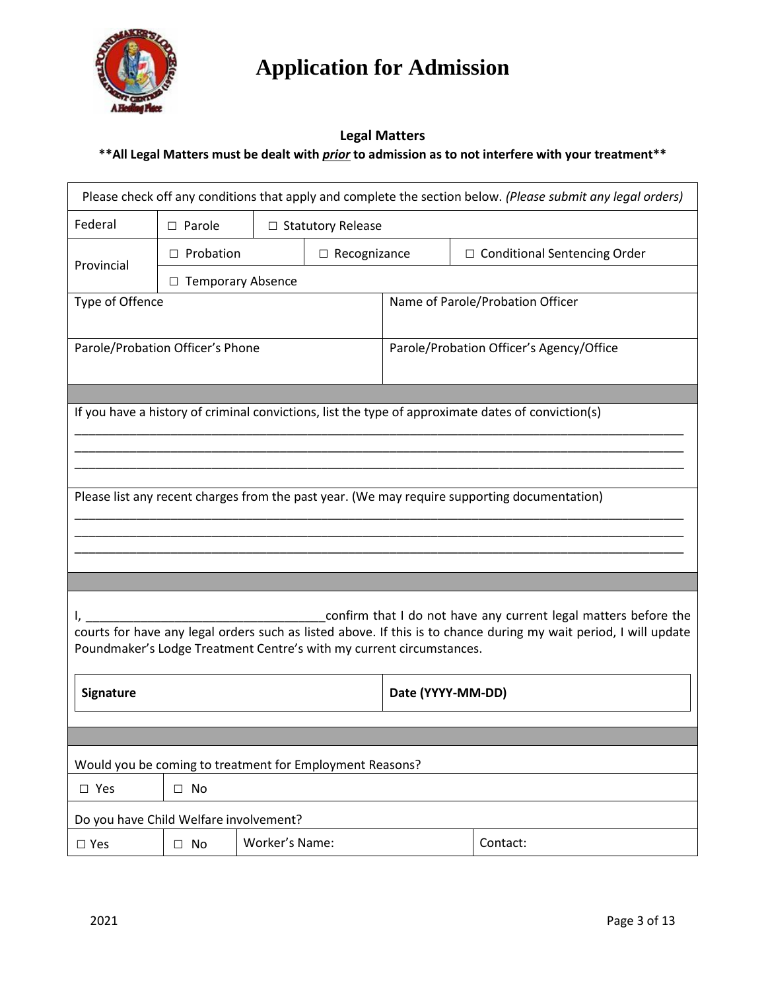

#### **Legal Matters \*\*All Legal Matters must be dealt with** *prior* **to admission as to not interfere with your treatment\*\***

| Please check off any conditions that apply and complete the section below. (Please submit any legal orders)                                                                                                                                                 |                          |  |                            |                                          |                                                                                              |  |  |  |  |  |
|-------------------------------------------------------------------------------------------------------------------------------------------------------------------------------------------------------------------------------------------------------------|--------------------------|--|----------------------------|------------------------------------------|----------------------------------------------------------------------------------------------|--|--|--|--|--|
| Federal                                                                                                                                                                                                                                                     | $\square$ Parole         |  | $\Box$ Statutory Release   |                                          |                                                                                              |  |  |  |  |  |
| Provincial                                                                                                                                                                                                                                                  | $\Box$ Probation         |  | $\Box$ Recognizance        |                                          | $\Box$ Conditional Sentencing Order                                                          |  |  |  |  |  |
|                                                                                                                                                                                                                                                             | $\Box$ Temporary Absence |  |                            |                                          |                                                                                              |  |  |  |  |  |
| Type of Offence                                                                                                                                                                                                                                             |                          |  |                            |                                          | Name of Parole/Probation Officer                                                             |  |  |  |  |  |
| Parole/Probation Officer's Phone                                                                                                                                                                                                                            |                          |  |                            | Parole/Probation Officer's Agency/Office |                                                                                              |  |  |  |  |  |
| If you have a history of criminal convictions, list the type of approximate dates of conviction(s)                                                                                                                                                          |                          |  |                            |                                          |                                                                                              |  |  |  |  |  |
|                                                                                                                                                                                                                                                             |                          |  |                            |                                          | Please list any recent charges from the past year. (We may require supporting documentation) |  |  |  |  |  |
|                                                                                                                                                                                                                                                             |                          |  |                            |                                          |                                                                                              |  |  |  |  |  |
|                                                                                                                                                                                                                                                             |                          |  |                            |                                          |                                                                                              |  |  |  |  |  |
| confirm that I do not have any current legal matters before the<br>courts for have any legal orders such as listed above. If this is to chance during my wait period, I will update<br>Poundmaker's Lodge Treatment Centre's with my current circumstances. |                          |  |                            |                                          |                                                                                              |  |  |  |  |  |
| Signature                                                                                                                                                                                                                                                   |                          |  |                            | Date (YYYY-MM-DD)                        |                                                                                              |  |  |  |  |  |
|                                                                                                                                                                                                                                                             |                          |  |                            |                                          |                                                                                              |  |  |  |  |  |
| Would you be coming to treatment for Employment Reasons?                                                                                                                                                                                                    |                          |  |                            |                                          |                                                                                              |  |  |  |  |  |
| $\square$ Yes                                                                                                                                                                                                                                               | $\square$ No             |  |                            |                                          |                                                                                              |  |  |  |  |  |
| Do you have Child Welfare involvement?                                                                                                                                                                                                                      |                          |  |                            |                                          |                                                                                              |  |  |  |  |  |
| $\square$ Yes                                                                                                                                                                                                                                               | $\square$ No             |  | Worker's Name:<br>Contact: |                                          |                                                                                              |  |  |  |  |  |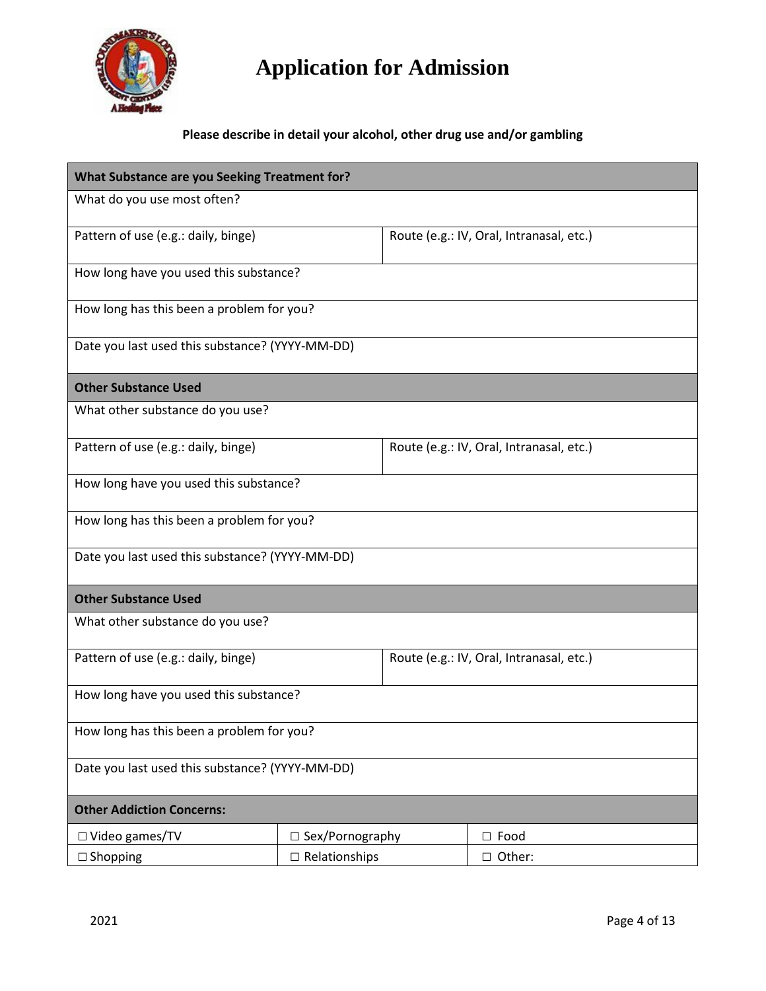

#### **Please describe in detail your alcohol, other drug use and/or gambling**

| What Substance are you Seeking Treatment for?   |                                        |                                          |                                          |  |  |  |  |  |  |
|-------------------------------------------------|----------------------------------------|------------------------------------------|------------------------------------------|--|--|--|--|--|--|
| What do you use most often?                     |                                        |                                          |                                          |  |  |  |  |  |  |
| Pattern of use (e.g.: daily, binge)             |                                        |                                          | Route (e.g.: IV, Oral, Intranasal, etc.) |  |  |  |  |  |  |
| How long have you used this substance?          |                                        |                                          |                                          |  |  |  |  |  |  |
| How long has this been a problem for you?       |                                        |                                          |                                          |  |  |  |  |  |  |
| Date you last used this substance? (YYYY-MM-DD) |                                        |                                          |                                          |  |  |  |  |  |  |
| <b>Other Substance Used</b>                     |                                        |                                          |                                          |  |  |  |  |  |  |
| What other substance do you use?                |                                        |                                          |                                          |  |  |  |  |  |  |
| Pattern of use (e.g.: daily, binge)             |                                        | Route (e.g.: IV, Oral, Intranasal, etc.) |                                          |  |  |  |  |  |  |
|                                                 | How long have you used this substance? |                                          |                                          |  |  |  |  |  |  |
| How long has this been a problem for you?       |                                        |                                          |                                          |  |  |  |  |  |  |
| Date you last used this substance? (YYYY-MM-DD) |                                        |                                          |                                          |  |  |  |  |  |  |
| <b>Other Substance Used</b>                     |                                        |                                          |                                          |  |  |  |  |  |  |
| What other substance do you use?                |                                        |                                          |                                          |  |  |  |  |  |  |
| Pattern of use (e.g.: daily, binge)             |                                        | Route (e.g.: IV, Oral, Intranasal, etc.) |                                          |  |  |  |  |  |  |
| How long have you used this substance?          |                                        |                                          |                                          |  |  |  |  |  |  |
| How long has this been a problem for you?       |                                        |                                          |                                          |  |  |  |  |  |  |
| Date you last used this substance? (YYYY-MM-DD) |                                        |                                          |                                          |  |  |  |  |  |  |
| <b>Other Addiction Concerns:</b>                |                                        |                                          |                                          |  |  |  |  |  |  |
| $\Box$ Video games/TV                           | □ Sex/Pornography                      |                                          | $\square$ Food                           |  |  |  |  |  |  |
| $\Box$ Shopping                                 | $\Box$ Relationships                   |                                          | □ Other:                                 |  |  |  |  |  |  |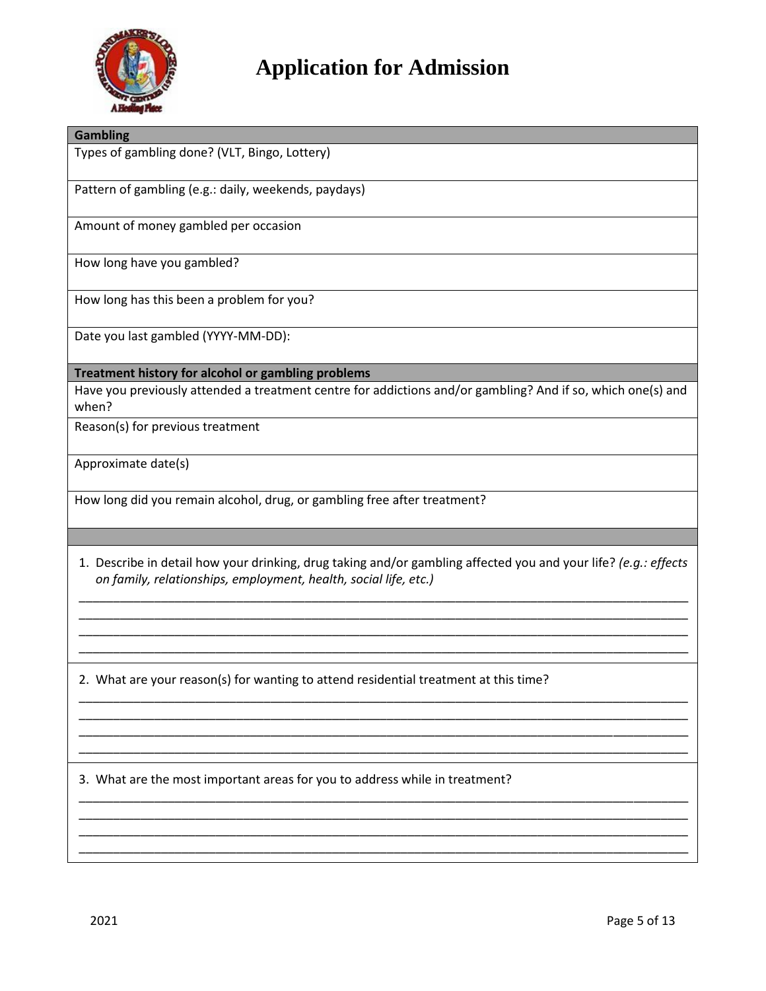

| <b>Gambling</b>                                                                                                                                                                     |
|-------------------------------------------------------------------------------------------------------------------------------------------------------------------------------------|
| Types of gambling done? (VLT, Bingo, Lottery)                                                                                                                                       |
| Pattern of gambling (e.g.: daily, weekends, paydays)                                                                                                                                |
| Amount of money gambled per occasion                                                                                                                                                |
| How long have you gambled?                                                                                                                                                          |
| How long has this been a problem for you?                                                                                                                                           |
| Date you last gambled (YYYY-MM-DD):                                                                                                                                                 |
| Treatment history for alcohol or gambling problems                                                                                                                                  |
| Have you previously attended a treatment centre for addictions and/or gambling? And if so, which one(s) and<br>when?                                                                |
| Reason(s) for previous treatment                                                                                                                                                    |
| Approximate date(s)                                                                                                                                                                 |
| How long did you remain alcohol, drug, or gambling free after treatment?                                                                                                            |
|                                                                                                                                                                                     |
| 1. Describe in detail how your drinking, drug taking and/or gambling affected you and your life? (e.g.: effects<br>on family, relationships, employment, health, social life, etc.) |
|                                                                                                                                                                                     |
|                                                                                                                                                                                     |
| 2. What are your reason(s) for wanting to attend residential treatment at this time?                                                                                                |
|                                                                                                                                                                                     |
|                                                                                                                                                                                     |
| 3. What are the most important areas for you to address while in treatment?                                                                                                         |
|                                                                                                                                                                                     |
|                                                                                                                                                                                     |
|                                                                                                                                                                                     |
| 2021<br>Page 5 of 13                                                                                                                                                                |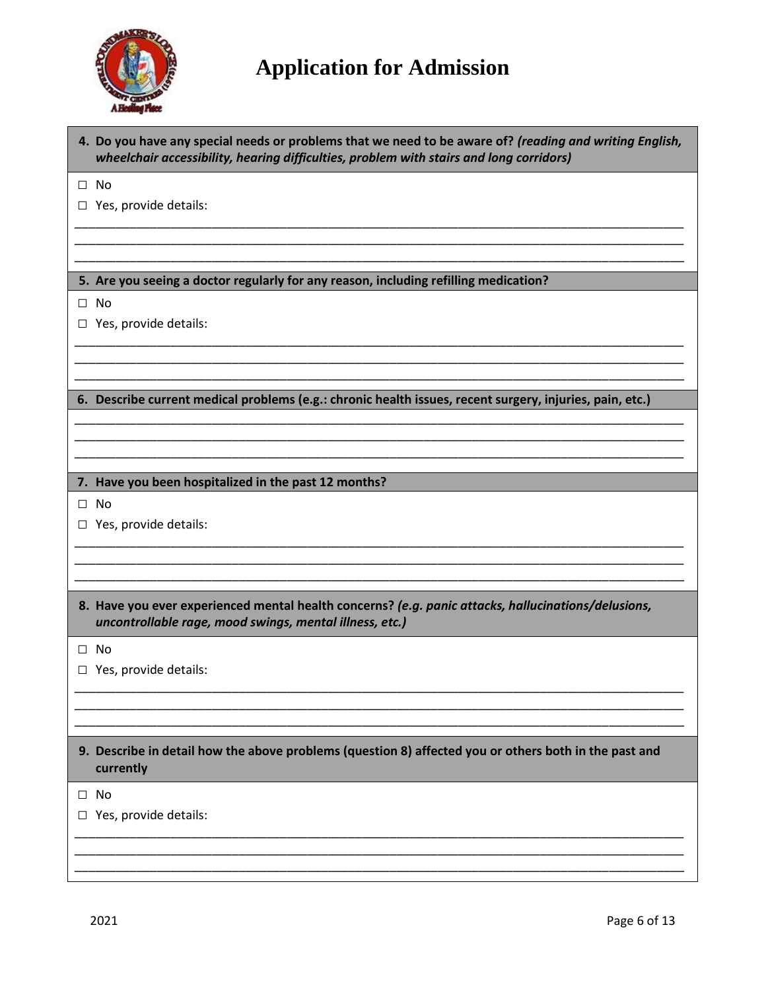

| 4. Do you have any special needs or problems that we need to be aware of? (reading and writing English,<br>wheelchair accessibility, hearing difficulties, problem with stairs and long corridors) |
|----------------------------------------------------------------------------------------------------------------------------------------------------------------------------------------------------|
| $\square$ No                                                                                                                                                                                       |
| $\Box$ Yes, provide details:                                                                                                                                                                       |
|                                                                                                                                                                                                    |
|                                                                                                                                                                                                    |
|                                                                                                                                                                                                    |
| 5. Are you seeing a doctor regularly for any reason, including refilling medication?                                                                                                               |
| $\Box$ No                                                                                                                                                                                          |
| $\Box$ Yes, provide details:                                                                                                                                                                       |
|                                                                                                                                                                                                    |
|                                                                                                                                                                                                    |
|                                                                                                                                                                                                    |
| 6. Describe current medical problems (e.g.: chronic health issues, recent surgery, injuries, pain, etc.)                                                                                           |
|                                                                                                                                                                                                    |
|                                                                                                                                                                                                    |
|                                                                                                                                                                                                    |
| 7. Have you been hospitalized in the past 12 months?                                                                                                                                               |
| $\Box$ No                                                                                                                                                                                          |
| $\Box$ Yes, provide details:                                                                                                                                                                       |
|                                                                                                                                                                                                    |
|                                                                                                                                                                                                    |
|                                                                                                                                                                                                    |
|                                                                                                                                                                                                    |
| 8. Have you ever experienced mental health concerns? (e.g. panic attacks, hallucinations/delusions,<br>uncontrollable rage, mood swings, mental illness, etc.)                                     |
| $\square$ No                                                                                                                                                                                       |
| $\Box$ Yes, provide details:                                                                                                                                                                       |
|                                                                                                                                                                                                    |
|                                                                                                                                                                                                    |
|                                                                                                                                                                                                    |
| 9. Describe in detail how the above problems (question 8) affected you or others both in the past and<br>currently                                                                                 |
| $\square$ No                                                                                                                                                                                       |
|                                                                                                                                                                                                    |
| $\Box$ Yes, provide details:                                                                                                                                                                       |
|                                                                                                                                                                                                    |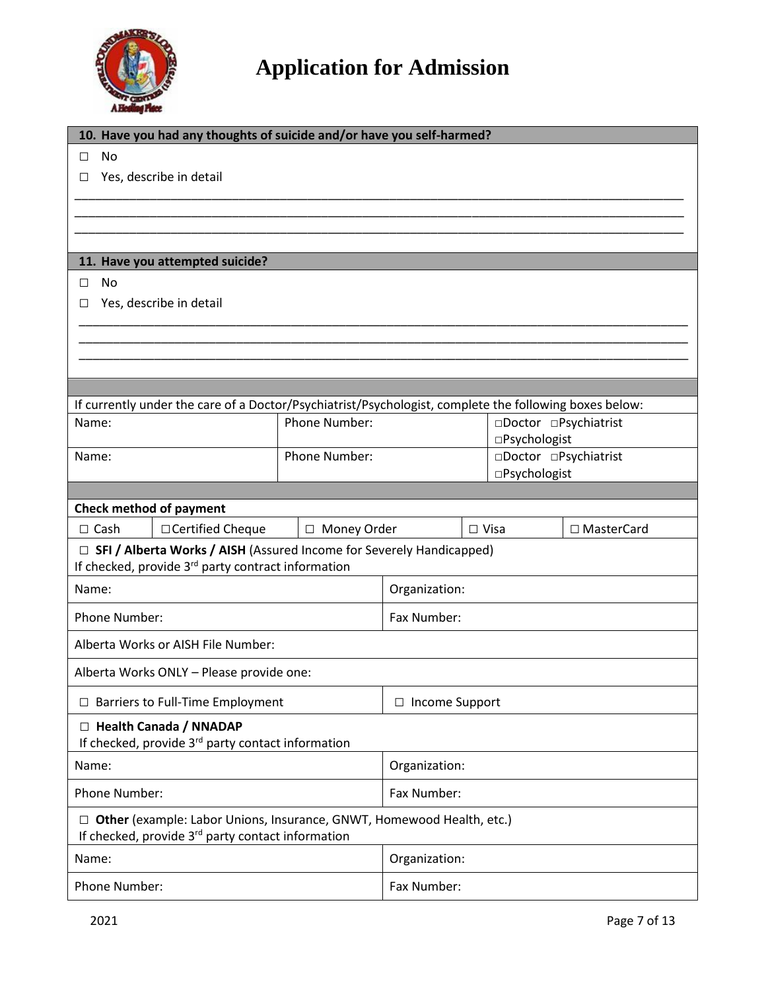

| 10. Have you had any thoughts of suicide and/or have you self-harmed?                                  |                    |               |                                        |             |                       |              |  |  |
|--------------------------------------------------------------------------------------------------------|--------------------|---------------|----------------------------------------|-------------|-----------------------|--------------|--|--|
| <b>No</b><br>$\Box$                                                                                    |                    |               |                                        |             |                       |              |  |  |
| Yes, describe in detail<br>□                                                                           |                    |               |                                        |             |                       |              |  |  |
|                                                                                                        |                    |               |                                        |             |                       |              |  |  |
|                                                                                                        |                    |               |                                        |             |                       |              |  |  |
|                                                                                                        |                    |               |                                        |             |                       |              |  |  |
| 11. Have you attempted suicide?                                                                        |                    |               |                                        |             |                       |              |  |  |
| <b>No</b>                                                                                              |                    |               |                                        |             |                       |              |  |  |
| $\Box$                                                                                                 |                    |               |                                        |             |                       |              |  |  |
| Yes, describe in detail<br>□                                                                           |                    |               |                                        |             |                       |              |  |  |
|                                                                                                        |                    |               |                                        |             |                       |              |  |  |
|                                                                                                        |                    |               |                                        |             |                       |              |  |  |
|                                                                                                        |                    |               |                                        |             |                       |              |  |  |
|                                                                                                        |                    |               |                                        |             |                       |              |  |  |
| If currently under the care of a Doctor/Psychiatrist/Psychologist, complete the following boxes below: |                    |               |                                        |             |                       |              |  |  |
| Name:                                                                                                  | Phone Number:      |               |                                        |             | □Doctor □Psychiatrist |              |  |  |
|                                                                                                        |                    |               |                                        |             | □Psychologist         |              |  |  |
| Name:                                                                                                  |                    | Phone Number: | □Doctor □Psychiatrist<br>□Psychologist |             |                       |              |  |  |
|                                                                                                        |                    |               |                                        |             |                       |              |  |  |
| <b>Check method of payment</b>                                                                         |                    |               |                                        |             |                       |              |  |  |
| $\Box$ Cash                                                                                            | □ Certified Cheque | □ Money Order |                                        | $\Box$ Visa |                       | □ MasterCard |  |  |
| $\Box$ SFI / Alberta Works / AISH (Assured Income for Severely Handicapped)                            |                    |               |                                        |             |                       |              |  |  |
| If checked, provide 3 <sup>rd</sup> party contract information                                         |                    |               |                                        |             |                       |              |  |  |
| Name:                                                                                                  |                    |               | Organization:                          |             |                       |              |  |  |
|                                                                                                        |                    |               |                                        |             |                       |              |  |  |
| Phone Number:                                                                                          |                    |               | Fax Number:                            |             |                       |              |  |  |
| Alberta Works or AISH File Number:                                                                     |                    |               |                                        |             |                       |              |  |  |
| Alberta Works ONLY - Please provide one:                                                               |                    |               |                                        |             |                       |              |  |  |
| $\Box$ Barriers to Full-Time Employment                                                                |                    |               | $\Box$ Income Support                  |             |                       |              |  |  |
|                                                                                                        |                    |               |                                        |             |                       |              |  |  |
| □ Health Canada / NNADAP<br>If checked, provide 3 <sup>rd</sup> party contact information              |                    |               |                                        |             |                       |              |  |  |
| Name:                                                                                                  |                    |               | Organization:                          |             |                       |              |  |  |
| Phone Number:                                                                                          |                    |               | Fax Number:                            |             |                       |              |  |  |
| □ Other (example: Labor Unions, Insurance, GNWT, Homewood Health, etc.)                                |                    |               |                                        |             |                       |              |  |  |
| If checked, provide 3 <sup>rd</sup> party contact information                                          |                    |               |                                        |             |                       |              |  |  |
| Name:                                                                                                  |                    |               | Organization:                          |             |                       |              |  |  |
| Phone Number:                                                                                          |                    |               | Fax Number:                            |             |                       |              |  |  |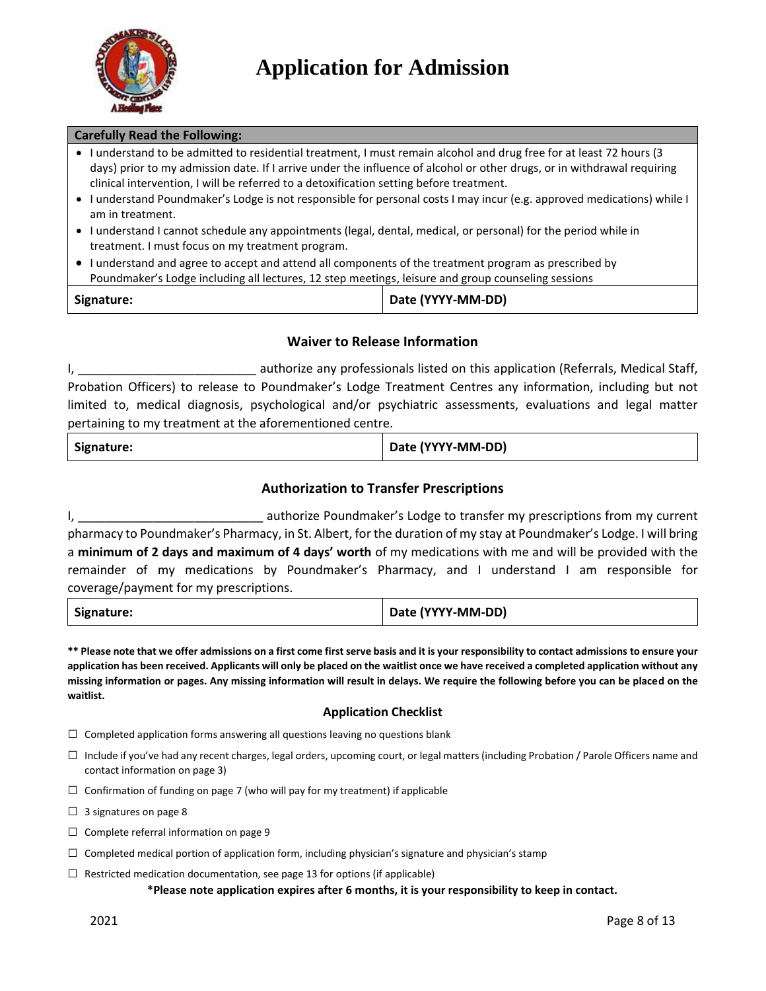

#### **Carefully Read the Following:**

- I understand to be admitted to residential treatment, I must remain alcohol and drug free for at least 72 hours (3 days) prior to my admission date. If I arrive under the influence of alcohol or other drugs, or in withdrawal requiring clinical intervention, I will be referred to a detoxification setting before treatment.
- I understand Poundmaker's Lodge is not responsible for personal costs I may incur (e.g. approved medications) while I am in treatment.
- I understand I cannot schedule any appointments (legal, dental, medical, or personal) for the period while in treatment. I must focus on my treatment program.
- I understand and agree to accept and attend all components of the treatment program as prescribed by Poundmaker's Lodge including all lectures, 12 step meetings, leisure and group counseling sessions

| Signature: | Date (YYYY-MM-DD) |
|------------|-------------------|
|------------|-------------------|

#### **Waiver to Release Information**

I, \_\_\_\_\_\_\_\_\_\_\_\_\_\_\_\_\_\_\_\_\_\_\_\_\_\_ authorize any professionals listed on this application (Referrals, Medical Staff, Probation Officers) to release to Poundmaker's Lodge Treatment Centres any information, including but not limited to, medical diagnosis, psychological and/or psychiatric assessments, evaluations and legal matter pertaining to my treatment at the aforementioned centre.

| Signature: | Date (YYYY-MM-DD) |
|------------|-------------------|
|------------|-------------------|

#### **Authorization to Transfer Prescriptions**

I, \_\_\_\_\_\_\_\_\_\_\_\_\_\_\_\_\_\_\_\_\_\_\_\_\_\_\_ authorize Poundmaker's Lodge to transfer my prescriptions from my current pharmacy to Poundmaker's Pharmacy, in St. Albert, for the duration of my stay at Poundmaker's Lodge. I will bring a **minimum of 2 days and maximum of 4 days' worth** of my medications with me and will be provided with the remainder of my medications by Poundmaker's Pharmacy, and I understand I am responsible for coverage/payment for my prescriptions.

| Signature: | Date (YYYY-MM-DD) |
|------------|-------------------|
|------------|-------------------|

**\*\* Please note that we offer admissions on a first come first serve basis and it is your responsibility to contact admissions to ensure your application has been received. Applicants will only be placed on the waitlist once we have received a completed application without any missing information or pages. Any missing information will result in delays. We require the following before you can be placed on the waitlist.**

#### **Application Checklist**

- $\square$  Completed application forms answering all questions leaving no questions blank
- $\square$  Include if you've had any recent charges, legal orders, upcoming court, or legal matters (including Probation / Parole Officers name and contact information on page 3)
- $\square$  Confirmation of funding on page 7 (who will pay for my treatment) if applicable

 $\Box$  3 signatures on page 8

- $\Box$  Complete referral information on page 9
- $\square$  Completed medical portion of application form, including physician's signature and physician's stamp
- $\Box$  Restricted medication documentation, see page 13 for options (if applicable)

**\*Please note application expires after 6 months, it is your responsibility to keep in contact.**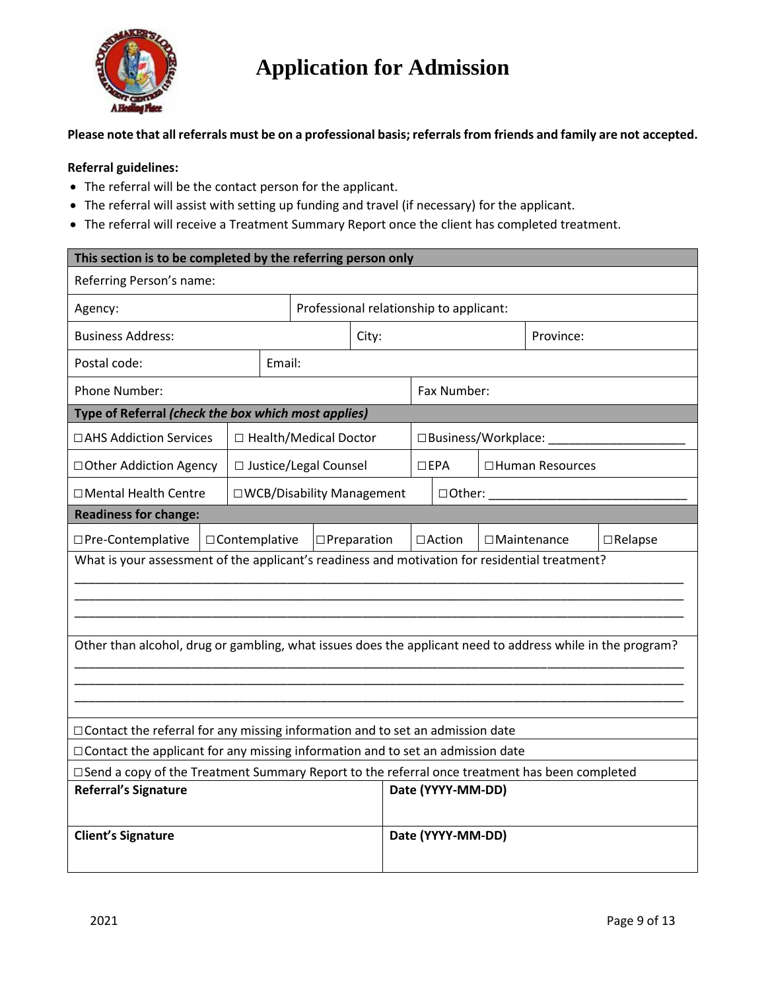

**Please note that all referrals must be on a professional basis; referrals from friends and family are not accepted.** 

#### **Referral guidelines:**

- The referral will be the contact person for the applicant.
- The referral will assist with setting up funding and travel (if necessary) for the applicant.
- The referral will receive a Treatment Summary Report once the client has completed treatment.

| This section is to be completed by the referring person only                                               |                |                                         |                       |                   |  |                   |                       |                    |                |
|------------------------------------------------------------------------------------------------------------|----------------|-----------------------------------------|-----------------------|-------------------|--|-------------------|-----------------------|--------------------|----------------|
| Referring Person's name:                                                                                   |                |                                         |                       |                   |  |                   |                       |                    |                |
| Agency:                                                                                                    |                | Professional relationship to applicant: |                       |                   |  |                   |                       |                    |                |
| <b>Business Address:</b><br>City:                                                                          |                |                                         |                       | Province:         |  |                   |                       |                    |                |
| Postal code:                                                                                               | Email:         |                                         |                       |                   |  |                   |                       |                    |                |
| Phone Number:                                                                                              |                |                                         |                       |                   |  | Fax Number:       |                       |                    |                |
| Type of Referral (check the box which most applies)                                                        |                |                                         |                       |                   |  |                   |                       |                    |                |
| □AHS Addiction Services                                                                                    |                | □ Health/Medical Doctor                 |                       |                   |  |                   | □ Business/Workplace: |                    |                |
| □ Other Addiction Agency                                                                                   |                | □ Justice/Legal Counsel                 |                       |                   |  | $\Box$ EPA        |                       | □ Human Resources  |                |
| □ Mental Health Centre                                                                                     |                | □ WCB/Disability Management             |                       | □Other:           |  |                   |                       |                    |                |
| <b>Readiness for change:</b>                                                                               |                |                                         |                       |                   |  |                   |                       |                    |                |
| □Pre-Contemplative                                                                                         | □Contemplative |                                         | $\square$ Preparation |                   |  | $\Box$ Action     |                       | $\Box$ Maintenance | $\Box$ Relapse |
| What is your assessment of the applicant's readiness and motivation for residential treatment?             |                |                                         |                       |                   |  |                   |                       |                    |                |
|                                                                                                            |                |                                         |                       |                   |  |                   |                       |                    |                |
|                                                                                                            |                |                                         |                       |                   |  |                   |                       |                    |                |
| Other than alcohol, drug or gambling, what issues does the applicant need to address while in the program? |                |                                         |                       |                   |  |                   |                       |                    |                |
|                                                                                                            |                |                                         |                       |                   |  |                   |                       |                    |                |
|                                                                                                            |                |                                         |                       |                   |  |                   |                       |                    |                |
|                                                                                                            |                |                                         |                       |                   |  |                   |                       |                    |                |
| $\Box$ Contact the referral for any missing information and to set an admission date                       |                |                                         |                       |                   |  |                   |                       |                    |                |
| □ Contact the applicant for any missing information and to set an admission date                           |                |                                         |                       |                   |  |                   |                       |                    |                |
| □Send a copy of the Treatment Summary Report to the referral once treatment has been completed             |                |                                         |                       |                   |  |                   |                       |                    |                |
| <b>Referral's Signature</b>                                                                                |                |                                         |                       | Date (YYYY-MM-DD) |  |                   |                       |                    |                |
|                                                                                                            |                |                                         |                       |                   |  |                   |                       |                    |                |
| <b>Client's Signature</b>                                                                                  |                |                                         |                       |                   |  | Date (YYYY-MM-DD) |                       |                    |                |
|                                                                                                            |                |                                         |                       |                   |  |                   |                       |                    |                |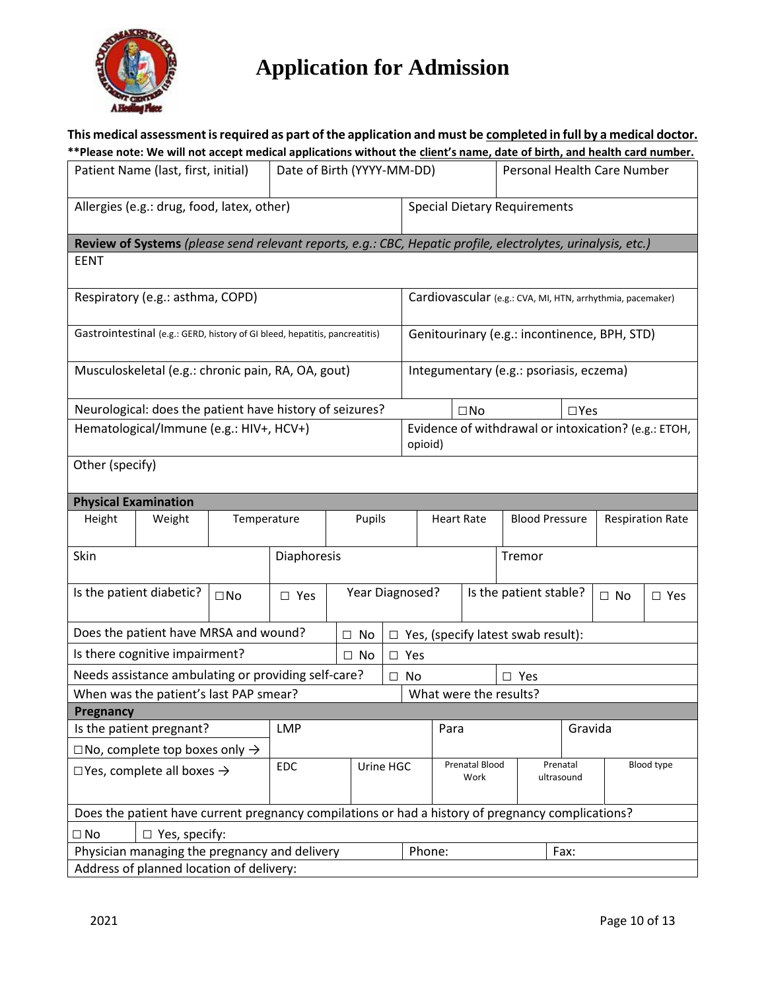

|                                                     | This medical assessment is required as part of the application and must be completed in full by a medical doctor.<br>**Please note: We will not accept medical applications without the client's name, date of birth, and health card number. |              |                            |           |                 |           |                                                                 |                                            |              |                                           |                                      |                         |                                                            |            |
|-----------------------------------------------------|-----------------------------------------------------------------------------------------------------------------------------------------------------------------------------------------------------------------------------------------------|--------------|----------------------------|-----------|-----------------|-----------|-----------------------------------------------------------------|--------------------------------------------|--------------|-------------------------------------------|--------------------------------------|-------------------------|------------------------------------------------------------|------------|
|                                                     | Patient Name (last, first, initial)                                                                                                                                                                                                           |              | Date of Birth (YYYY-MM-DD) |           |                 |           | Personal Health Care Number                                     |                                            |              |                                           |                                      |                         |                                                            |            |
|                                                     | Allergies (e.g.: drug, food, latex, other)                                                                                                                                                                                                    |              |                            |           |                 |           | <b>Special Dietary Requirements</b>                             |                                            |              |                                           |                                      |                         |                                                            |            |
|                                                     | Review of Systems (please send relevant reports, e.g.: CBC, Hepatic profile, electrolytes, urinalysis, etc.)                                                                                                                                  |              |                            |           |                 |           |                                                                 |                                            |              |                                           |                                      |                         |                                                            |            |
| <b>EENT</b>                                         |                                                                                                                                                                                                                                               |              |                            |           |                 |           |                                                                 |                                            |              |                                           |                                      |                         |                                                            |            |
|                                                     | Respiratory (e.g.: asthma, COPD)                                                                                                                                                                                                              |              |                            |           |                 |           |                                                                 |                                            |              |                                           |                                      |                         | Cardiovascular (e.g.: CVA, MI, HTN, arrhythmia, pacemaker) |            |
|                                                     |                                                                                                                                                                                                                                               |              |                            |           |                 |           |                                                                 |                                            |              |                                           |                                      |                         |                                                            |            |
|                                                     | Gastrointestinal (e.g.: GERD, history of GI bleed, hepatitis, pancreatitis)                                                                                                                                                                   |              |                            |           |                 |           |                                                                 |                                            |              |                                           |                                      |                         | Genitourinary (e.g.: incontinence, BPH, STD)               |            |
|                                                     | Musculoskeletal (e.g.: chronic pain, RA, OA, gout)                                                                                                                                                                                            |              |                            |           |                 |           |                                                                 |                                            |              | Integumentary (e.g.: psoriasis, eczema)   |                                      |                         |                                                            |            |
|                                                     | Neurological: does the patient have history of seizures?                                                                                                                                                                                      |              |                            |           |                 |           |                                                                 |                                            | $\square$ No |                                           |                                      | $\Box$ Yes              |                                                            |            |
|                                                     | Hematological/Immune (e.g.: HIV+, HCV+)                                                                                                                                                                                                       |              |                            |           |                 |           | Evidence of withdrawal or intoxication? (e.g.: ETOH,<br>opioid) |                                            |              |                                           |                                      |                         |                                                            |            |
| Other (specify)                                     |                                                                                                                                                                                                                                               |              |                            |           |                 |           |                                                                 |                                            |              |                                           |                                      |                         |                                                            |            |
|                                                     | <b>Physical Examination</b>                                                                                                                                                                                                                   |              |                            |           |                 |           |                                                                 |                                            |              |                                           |                                      |                         |                                                            |            |
| Height                                              | Weight                                                                                                                                                                                                                                        | Temperature  |                            |           | Pupils          |           |                                                                 | <b>Heart Rate</b><br><b>Blood Pressure</b> |              |                                           |                                      | <b>Respiration Rate</b> |                                                            |            |
| Skin                                                |                                                                                                                                                                                                                                               |              | Diaphoresis                |           |                 |           | Tremor                                                          |                                            |              |                                           |                                      |                         |                                                            |            |
|                                                     | Is the patient diabetic?                                                                                                                                                                                                                      | $\square$ No | $\square$ Yes              |           | Year Diagnosed? |           |                                                                 |                                            |              | Is the patient stable?                    |                                      |                         | $\Box$ No                                                  | $\Box$ Yes |
|                                                     | Does the patient have MRSA and wound?                                                                                                                                                                                                         |              |                            |           | $\square$ No    |           |                                                                 |                                            |              | $\Box$ Yes, (specify latest swab result): |                                      |                         |                                                            |            |
|                                                     | Is there cognitive impairment?                                                                                                                                                                                                                |              |                            |           | $\Box$ No       |           | $\square$ Yes                                                   |                                            |              |                                           |                                      |                         |                                                            |            |
|                                                     | Needs assistance ambulating or providing self-care?                                                                                                                                                                                           |              |                            |           |                 | $\Box$ No | $\square$ Yes                                                   |                                            |              |                                           |                                      |                         |                                                            |            |
|                                                     | When was the patient's last PAP smear?                                                                                                                                                                                                        |              |                            |           |                 |           | What were the results?                                          |                                            |              |                                           |                                      |                         |                                                            |            |
| Pregnancy                                           |                                                                                                                                                                                                                                               |              |                            |           |                 |           |                                                                 |                                            |              |                                           |                                      |                         |                                                            |            |
|                                                     | Is the patient pregnant?                                                                                                                                                                                                                      |              | <b>LMP</b>                 |           |                 |           |                                                                 | Para                                       |              |                                           |                                      | Gravida                 |                                                            |            |
|                                                     | $\Box$ No, complete top boxes only $\rightarrow$                                                                                                                                                                                              |              |                            |           |                 |           |                                                                 |                                            |              |                                           |                                      |                         |                                                            |            |
| EDC<br>$\Box$ Yes, complete all boxes $\rightarrow$ |                                                                                                                                                                                                                                               |              |                            | Urine HGC |                 |           | Prenatal Blood<br>Work                                          |                                            |              |                                           | Blood type<br>Prenatal<br>ultrasound |                         |                                                            |            |
|                                                     | Does the patient have current pregnancy compilations or had a history of pregnancy complications?                                                                                                                                             |              |                            |           |                 |           |                                                                 |                                            |              |                                           |                                      |                         |                                                            |            |
| $\Box$ No                                           | $\Box$ Yes, specify:                                                                                                                                                                                                                          |              |                            |           |                 |           |                                                                 |                                            |              |                                           |                                      |                         |                                                            |            |
|                                                     | Physician managing the pregnancy and delivery                                                                                                                                                                                                 |              |                            |           |                 |           | Phone:                                                          |                                            |              |                                           |                                      | Fax:                    |                                                            |            |
|                                                     | Address of planned location of delivery:                                                                                                                                                                                                      |              |                            |           |                 |           |                                                                 |                                            |              |                                           |                                      |                         |                                                            |            |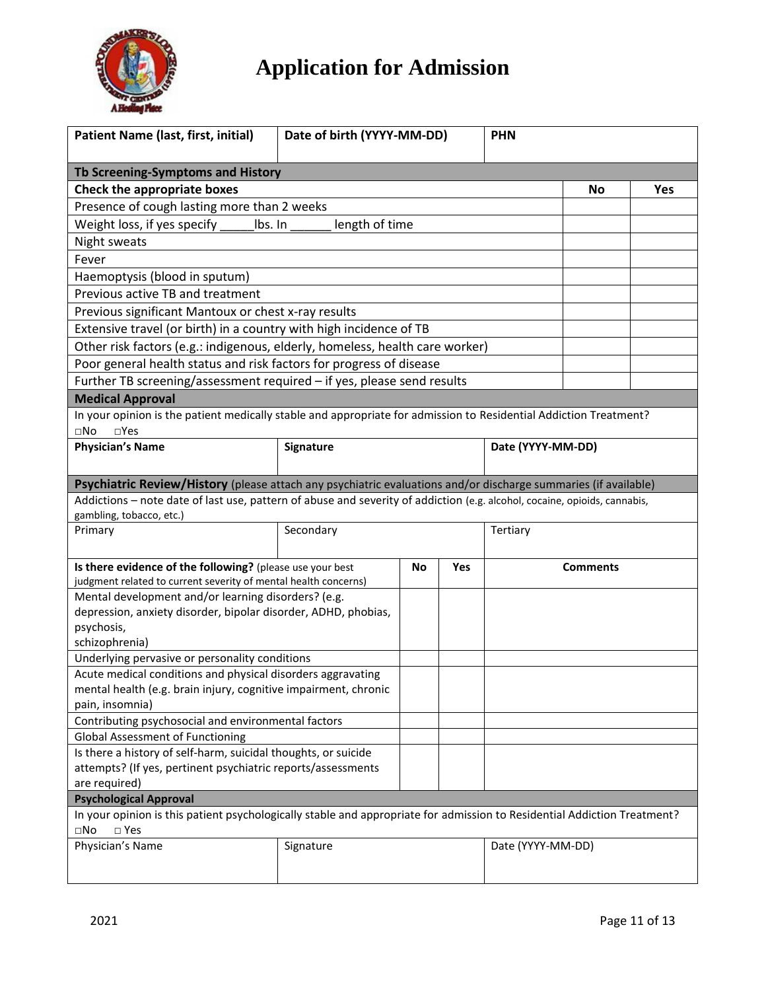

| <b>Patient Name (last, first, initial)</b>                                                                                                                | Date of birth (YYYY-MM-DD)<br><b>PHN</b>                                                                              |  |                   |                   |     |  |
|-----------------------------------------------------------------------------------------------------------------------------------------------------------|-----------------------------------------------------------------------------------------------------------------------|--|-------------------|-------------------|-----|--|
|                                                                                                                                                           |                                                                                                                       |  |                   |                   |     |  |
| Tb Screening-Symptoms and History                                                                                                                         |                                                                                                                       |  |                   |                   |     |  |
| Check the appropriate boxes                                                                                                                               |                                                                                                                       |  |                   | No                | Yes |  |
| Presence of cough lasting more than 2 weeks                                                                                                               |                                                                                                                       |  |                   |                   |     |  |
| Weight loss, if yes specify<br>lbs. In                                                                                                                    | length of time                                                                                                        |  |                   |                   |     |  |
| Night sweats                                                                                                                                              |                                                                                                                       |  |                   |                   |     |  |
| Fever                                                                                                                                                     |                                                                                                                       |  |                   |                   |     |  |
| Haemoptysis (blood in sputum)                                                                                                                             |                                                                                                                       |  |                   |                   |     |  |
| Previous active TB and treatment                                                                                                                          |                                                                                                                       |  |                   |                   |     |  |
| Previous significant Mantoux or chest x-ray results                                                                                                       |                                                                                                                       |  |                   |                   |     |  |
| Extensive travel (or birth) in a country with high incidence of TB                                                                                        |                                                                                                                       |  |                   |                   |     |  |
| Other risk factors (e.g.: indigenous, elderly, homeless, health care worker)                                                                              |                                                                                                                       |  |                   |                   |     |  |
| Poor general health status and risk factors for progress of disease                                                                                       |                                                                                                                       |  |                   |                   |     |  |
| Further TB screening/assessment required - if yes, please send results                                                                                    |                                                                                                                       |  |                   |                   |     |  |
| <b>Medical Approval</b>                                                                                                                                   |                                                                                                                       |  |                   |                   |     |  |
| In your opinion is the patient medically stable and appropriate for admission to Residential Addiction Treatment?                                         |                                                                                                                       |  |                   |                   |     |  |
| $\square$ No<br>$\Box$ Yes                                                                                                                                |                                                                                                                       |  |                   |                   |     |  |
| <b>Physician's Name</b>                                                                                                                                   | Signature                                                                                                             |  |                   | Date (YYYY-MM-DD) |     |  |
|                                                                                                                                                           |                                                                                                                       |  |                   |                   |     |  |
| Psychiatric Review/History (please attach any psychiatric evaluations and/or discharge summaries (if available)                                           |                                                                                                                       |  |                   |                   |     |  |
| Addictions - note date of last use, pattern of abuse and severity of addiction (e.g. alcohol, cocaine, opioids, cannabis,                                 |                                                                                                                       |  |                   |                   |     |  |
| gambling, tobacco, etc.)                                                                                                                                  |                                                                                                                       |  |                   |                   |     |  |
| Primary                                                                                                                                                   | Secondary                                                                                                             |  |                   | Tertiary          |     |  |
|                                                                                                                                                           |                                                                                                                       |  |                   |                   |     |  |
| Is there evidence of the following? (please use your best                                                                                                 | No<br>Yes                                                                                                             |  |                   | <b>Comments</b>   |     |  |
| judgment related to current severity of mental health concerns)                                                                                           |                                                                                                                       |  |                   |                   |     |  |
|                                                                                                                                                           | Mental development and/or learning disorders? (e.g.<br>depression, anxiety disorder, bipolar disorder, ADHD, phobias, |  |                   |                   |     |  |
| psychosis,                                                                                                                                                |                                                                                                                       |  |                   |                   |     |  |
| schizophrenia)                                                                                                                                            |                                                                                                                       |  |                   |                   |     |  |
| Underlying pervasive or personality conditions                                                                                                            |                                                                                                                       |  |                   |                   |     |  |
| Acute medical conditions and physical disorders aggravating                                                                                               |                                                                                                                       |  |                   |                   |     |  |
| mental health (e.g. brain injury, cognitive impairment, chronic                                                                                           |                                                                                                                       |  |                   |                   |     |  |
| pain, insomnia)                                                                                                                                           |                                                                                                                       |  |                   |                   |     |  |
| Contributing psychosocial and environmental factors                                                                                                       |                                                                                                                       |  |                   |                   |     |  |
| <b>Global Assessment of Functioning</b>                                                                                                                   |                                                                                                                       |  |                   |                   |     |  |
| Is there a history of self-harm, suicidal thoughts, or suicide                                                                                            |                                                                                                                       |  |                   |                   |     |  |
| attempts? (If yes, pertinent psychiatric reports/assessments                                                                                              |                                                                                                                       |  |                   |                   |     |  |
| are required)                                                                                                                                             |                                                                                                                       |  |                   |                   |     |  |
| <b>Psychological Approval</b><br>In your opinion is this patient psychologically stable and appropriate for admission to Residential Addiction Treatment? |                                                                                                                       |  |                   |                   |     |  |
| $\square$ Yes<br>$\square$ No                                                                                                                             |                                                                                                                       |  |                   |                   |     |  |
| Physician's Name                                                                                                                                          | Signature                                                                                                             |  | Date (YYYY-MM-DD) |                   |     |  |
|                                                                                                                                                           |                                                                                                                       |  |                   |                   |     |  |
|                                                                                                                                                           |                                                                                                                       |  |                   |                   |     |  |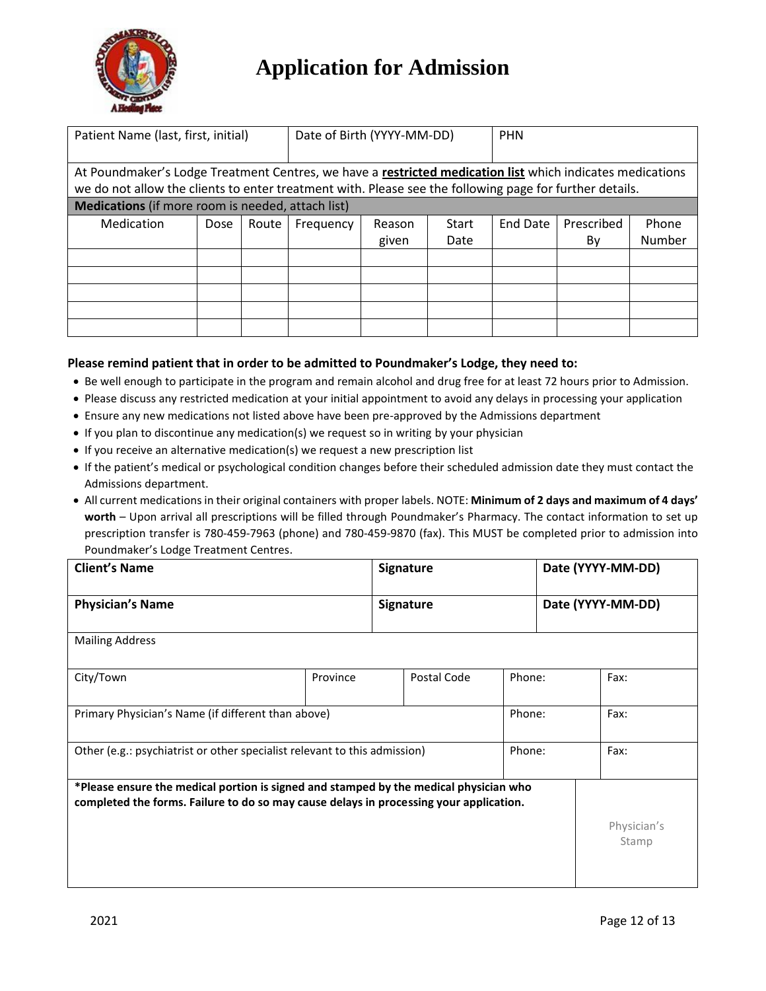

| Patient Name (last, first, initial)                                                                       |      |       | Date of Birth (YYYY-MM-DD) |        | <b>PHN</b> |          |            |        |
|-----------------------------------------------------------------------------------------------------------|------|-------|----------------------------|--------|------------|----------|------------|--------|
|                                                                                                           |      |       |                            |        |            |          |            |        |
| At Poundmaker's Lodge Treatment Centres, we have a restricted medication list which indicates medications |      |       |                            |        |            |          |            |        |
| we do not allow the clients to enter treatment with. Please see the following page for further details.   |      |       |                            |        |            |          |            |        |
| <b>Medications</b> (if more room is needed, attach list)                                                  |      |       |                            |        |            |          |            |        |
| <b>Medication</b>                                                                                         | Dose | Route | Frequency                  | Reason | Start      | End Date | Prescribed | Phone  |
|                                                                                                           |      |       |                            | given  | Date       |          | By         | Number |
|                                                                                                           |      |       |                            |        |            |          |            |        |
|                                                                                                           |      |       |                            |        |            |          |            |        |
|                                                                                                           |      |       |                            |        |            |          |            |        |
|                                                                                                           |      |       |                            |        |            |          |            |        |
|                                                                                                           |      |       |                            |        |            |          |            |        |
|                                                                                                           |      |       |                            |        |            |          |            |        |

#### **Please remind patient that in order to be admitted to Poundmaker's Lodge, they need to:**

- Be well enough to participate in the program and remain alcohol and drug free for at least 72 hours prior to Admission.
- Please discuss any restricted medication at your initial appointment to avoid any delays in processing your application
- Ensure any new medications not listed above have been pre-approved by the Admissions department
- If you plan to discontinue any medication(s) we request so in writing by your physician
- If you receive an alternative medication(s) we request a new prescription list
- If the patient's medical or psychological condition changes before their scheduled admission date they must contact the Admissions department.
- All current medications in their original containers with proper labels. NOTE: **Minimum of 2 days and maximum of 4 days' worth** – Upon arrival all prescriptions will be filled through Poundmaker's Pharmacy. The contact information to set up prescription transfer is 780-459-7963 (phone) and 780-459-9870 (fax). This MUST be completed prior to admission into Poundmaker's Lodge Treatment Centres.

| <b>Client's Name</b>                                                                                                                                                            |          | <b>Signature</b> |        | Date (YYYY-MM-DD) |                      |  |
|---------------------------------------------------------------------------------------------------------------------------------------------------------------------------------|----------|------------------|--------|-------------------|----------------------|--|
| <b>Physician's Name</b>                                                                                                                                                         |          | <b>Signature</b> |        | Date (YYYY-MM-DD) |                      |  |
| <b>Mailing Address</b>                                                                                                                                                          |          |                  |        |                   |                      |  |
| City/Town                                                                                                                                                                       | Province | Postal Code      | Phone: |                   | Fax:                 |  |
| Phone:<br>Primary Physician's Name (if different than above)                                                                                                                    |          |                  |        |                   | Fax:                 |  |
| Other (e.g.: psychiatrist or other specialist relevant to this admission)                                                                                                       |          |                  | Phone: |                   | Fax:                 |  |
| *Please ensure the medical portion is signed and stamped by the medical physician who<br>completed the forms. Failure to do so may cause delays in processing your application. |          |                  |        |                   |                      |  |
|                                                                                                                                                                                 |          |                  |        |                   | Physician's<br>Stamp |  |